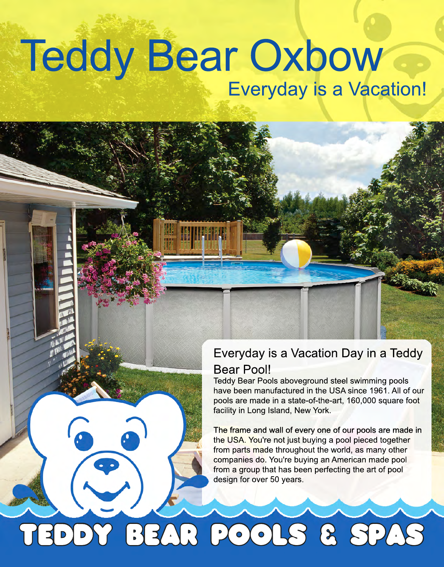## Teddy Bear Oxbow Everyday is a Vacation!

### Everyday is a Vacation Day in a Teddy Bear Pool!

Teddy Bear Pools aboveground steel swimming pools have been manufactured in the USA since 1961. All of our pools are made in a state-of-the-art, 160,000 square foot facility in Long Island, New York.

The frame and wall of every one of our pools are made in the USA. You're not just buying a pool pieced together from parts made throughout the world, as many other companies do. You're buying an American made pool from a group that has been perfecting the art of pool design for over 50 years.

TEDDY BEAR POOLS & SPAS